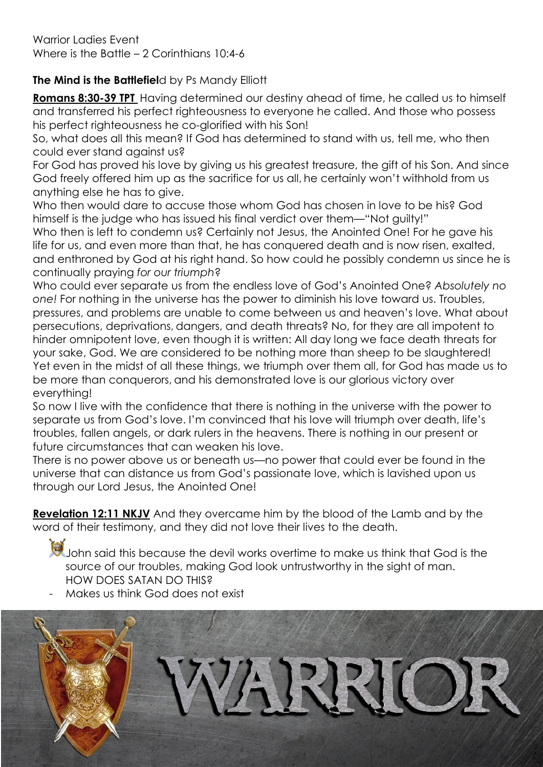Warrior Ladies Event Where is the Battle – 2 Corinthians 10:4-6

## **The Mind is the Battlefiel**d by Ps Mandy Elliott

**Romans 8:30-39 TPT** Having determined our destiny ahead of time, he called us to himself and transferred his perfect righteousness to everyone he called. And those who possess his perfect righteousness he co-glorified with his Son!

So, what does all this mean? If God has determined to stand with us, tell me, who then could ever stand against us?

For God has proved his love by giving us his greatest treasure, the gift of his Son. And since God freely offered him up as the sacrifice for us all, he certainly won't withhold from us anything else he has to give.

Who then would dare to accuse those whom God has chosen in love to be his? God himself is the judge who has issued his final verdict over them—"Not guilty!"

Who then is left to condemn us? Certainly not Jesus, the Anointed One! For he gave his life for us, and even more than that, he has conquered death and is now risen, exalted, and enthroned by God at his right hand. So how could he possibly condemn us since he is continually praying *for our triumph*?

Who could ever separate us from the endless love of God's Anointed One? *Absolutely no one!* For nothing in the universe has the power to diminish his love toward us. Troubles, pressures, and problems are unable to come between us and heaven's love. What about persecutions, deprivations, dangers, and death threats? No, for they are all impotent to hinder omnipotent love, even though it is written: All day long we face death threats for your sake, God. We are considered to be nothing more than sheep to be slaughtered! Yet even in the midst of all these things, we triumph over them all, for God has made us to be more than conquerors, and his demonstrated love is our glorious victory over everything!

So now I live with the confidence that there is nothing in the universe with the power to separate us from God's love. I'm convinced that his love will triumph over death, life's troubles, fallen angels, or dark rulers in the heavens. There is nothing in our present or future circumstances that can weaken his love.

There is no power above us or beneath us—no power that could ever be found in the universe that can distance us from God's passionate love, which is lavished upon us through our Lord Jesus, the Anointed One!

**Revelation 12:11 NKJV** And they overcame him by the blood of the Lamb and by the word of their testimony, and they did not love their lives to the death.

John said this because the devil works overtime to make us think that God is the source of our troubles, making God look untrustworthy in the sight of man. HOW DOES SATAN DO THIS?

Makes us think God does not exist

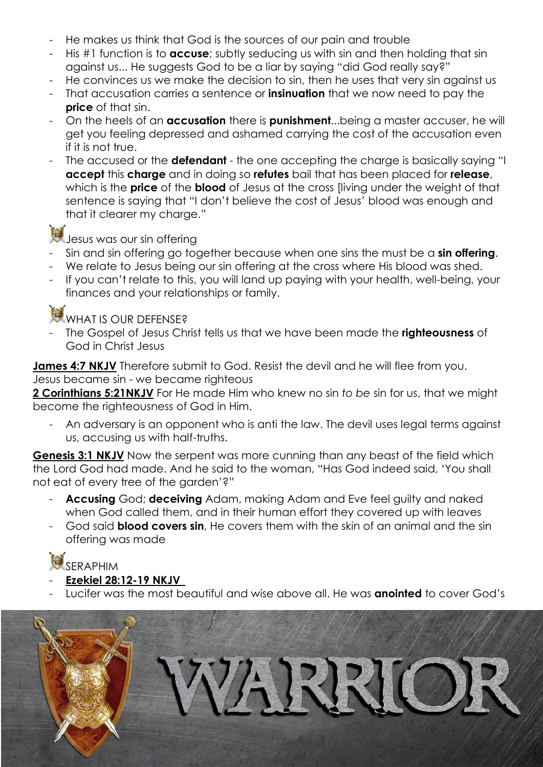- He makes us think that God is the sources of our pain and trouble
- His #1 function is to **accuse**; subtly seducing us with sin and then holding that sin against us... He suggests God to be a liar by saying "did God really say?"
- He convinces us we make the decision to sin, then he uses that very sin against us
- That accusation carries a sentence or **insinuation** that we now need to pay the **price** of that sin.
- On the heels of an **accusation** there is **punishment**...being a master accuser, he will get you feeling depressed and ashamed carrying the cost of the accusation even if it is not true.
- The accused or the **defendant** the one accepting the charge is basically saying "I **accept** this **charge** and in doing so **refutes** bail that has been placed for **release**, which is the **price** of the **blood** of Jesus at the cross [living under the weight of that sentence is saying that "I don't believe the cost of Jesus' blood was enough and that it clearer my charge."



Jesus was our sin offering

- Sin and sin offering go together because when one sins the must be a **sin offering**.
- We relate to Jesus being our sin offering at the cross where His blood was shed.
- If you can't relate to this, you will land up paying with your health, well-being, your finances and your relationships or family.

WHAT IS OUR DEFENSE?

- The Gospel of Jesus Christ tells us that we have been made the **righteousness** of God in Christ Jesus

**James 4:7 NKJV** Therefore submit to God. Resist the devil and he will flee from you. Jesus became sin - we became righteous

**2 Corinthians 5:21NKJV** For He made Him who knew no sin *to be* sin for us, that we might become the righteousness of God in Him.

An adversary is an opponent who is anti the law. The devil uses legal terms against us, accusing us with half-truths.

**Genesis 3:1 NKJV** Now the serpent was more cunning than any beast of the field which the Lord God had made. And he said to the woman, "Has God indeed said, 'You shall not eat of every tree of the garden'?"

- **Accusing** God; **deceiving** Adam, making Adam and Eve feel guilty and naked when God called them, and in their human effort they covered up with leaves
- God said **blood covers sin**, He covers them with the skin of an animal and the sin offering was made

**SERAPHIM** 

- **Ezekiel 28:12-19 NKJV**
- Lucifer was the most beautiful and wise above all. He was **anointed** to cover God's

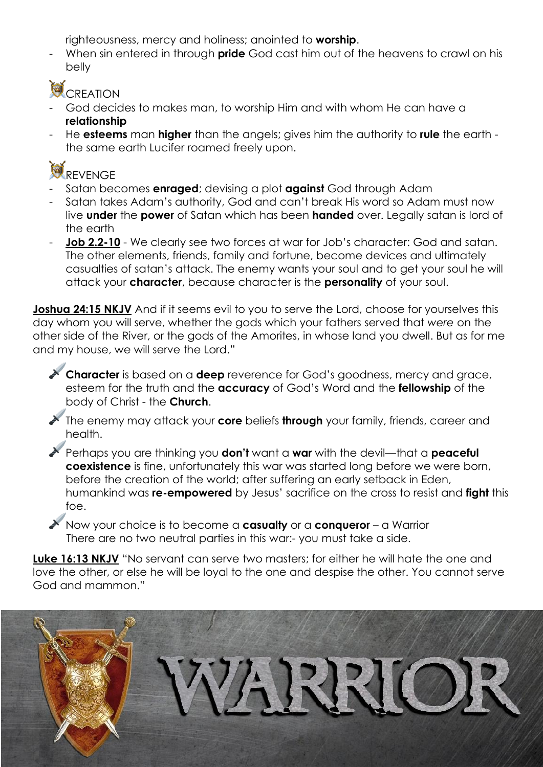righteousness, mercy and holiness; anointed to **worship**.

- When sin entered in through **pride** God cast him out of the heavens to crawl on his belly

## CREATION

- God decides to makes man, to worship Him and with whom He can have a **relationship**
- He **esteems** man **higher** than the angels; gives him the authority to **rule** the earth the same earth Lucifer roamed freely upon.



- Satan becomes **enraged**; devising a plot **against** God through Adam
- Satan takes Adam's authority, God and can't break His word so Adam must now live **under** the **power** of Satan which has been **handed** over. Legally satan is lord of the earth
- **Job 2.2-10** We clearly see two forces at war for Job's character: God and satan. The other elements, friends, family and fortune, become devices and ultimately casualties of satan's attack. The enemy wants your soul and to get your soul he will attack your **character**, because character is the **personality** of your soul.

**Joshua 24:15 NKJV** And if it seems evil to you to serve the Lord, choose for yourselves this day whom you will serve, whether the gods which your fathers served that *were* on the other side of the River, or the gods of the Amorites, in whose land you dwell. But as for me and my house, we will serve the Lord."

**Character** is based on a **deep** reverence for God's goodness, mercy and grace, esteem for the truth and the **accuracy** of God's Word and the **fellowship** of the body of Christ - the **Church**.

The enemy may attack your **core** beliefs **through** your family, friends, career and health.

Perhaps you are thinking you **don't** want a **war** with the devil—that a **peaceful coexistence** is fine, unfortunately this war was started long before we were born, before the creation of the world; after suffering an early setback in Eden, humankind was **re-empowered** by Jesus' sacrifice on the cross to resist and **fight** this foe.

Now your choice is to become a **casualty** or a **conqueror** – a Warrior There are no two neutral parties in this war:- you must take a side.

**Luke 16:13 NKJV** "No servant can serve two masters; for either he will hate the one and love the other, or else he will be loyal to the one and despise the other. You cannot serve God and mammon."

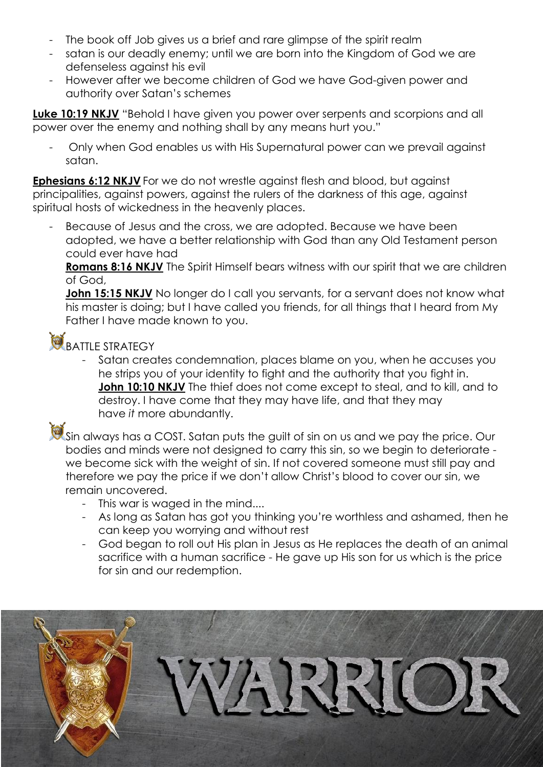- The book off Job gives us a brief and rare glimpse of the spirit realm
- satan is our deadly enemy; until we are born into the Kingdom of God we are defenseless against his evil
- However after we become children of God we have God-given power and authority over Satan's schemes

**Luke 10:19 NKJV** "Behold I have given you power over serpents and scorpions and all power over the enemy and nothing shall by any means hurt you."

- Only when God enables us with His Supernatural power can we prevail against satan.

**Ephesians 6:12 NKJV** For we do not wrestle against flesh and blood, but against principalities, against powers, against the rulers of the darkness of this age, against spiritual hosts of wickedness in the heavenly places.

Because of Jesus and the cross, we are adopted. Because we have been adopted, we have a better relationship with God than any Old Testament person could ever have had

**Romans 8:16 NKJV** The Spirit Himself bears witness with our spirit that we are children of God,

**John 15:15 NKJV** No longer do I call you servants, for a servant does not know what his master is doing; but I have called you friends, for all things that I heard from My Father I have made known to you.

## BATTLE STRATEGY

Satan creates condemnation, places blame on you, when he accuses you he strips you of your identity to fight and the authority that you fight in. **John 10:10 NKJV** The thief does not come except to steal, and to kill, and to destroy. I have come that they may have life, and that they may have *it* more abundantly.



Sin always has a COST. Satan puts the guilt of sin on us and we pay the price. Our bodies and minds were not designed to carry this sin, so we begin to deteriorate we become sick with the weight of sin. If not covered someone must still pay and therefore we pay the price if we don't allow Christ's blood to cover our sin, we remain uncovered.

- This war is waged in the mind....
- As long as Satan has got you thinking you're worthless and ashamed, then he can keep you worrying and without rest
- God began to roll out His plan in Jesus as He replaces the death of an animal sacrifice with a human sacrifice - He gave up His son for us which is the price for sin and our redemption.